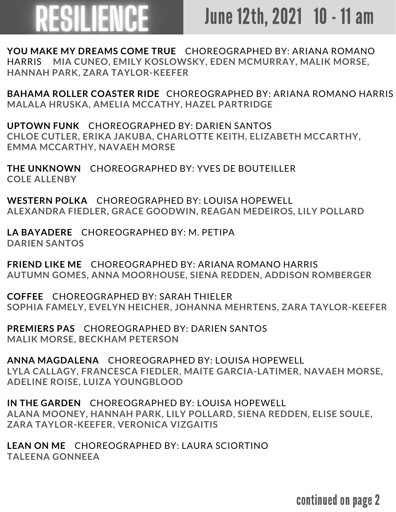## RESILIENCE

## June 12th, 2021 10 - 11 am

**YOU MAKE MY DREAMS COME TRUE** CHOREOGRAPHED BY: ARIANA ROMANO HARRIS **MIA CUNEO, EMILY KOSLOWSKY, EDEN MCMURRAY, MALIK MORSE, HANNAH PARK, ZARA TAYLOR-KEEFER**

**BAHAMA ROLLER COASTER RIDE** CHOREOGRAPHED BY: ARIANA ROMANO HARRIS **MALALA HRUSKA, AMELIA MCCATHY, HAZEL PARTRIDGE**

**UPTOWN FUNK** CHOREOGRAPHED BY: DARIEN SANTOS **CHLOE CUTLER, ERIKA JAKUBA, CHARLOTTE KEITH, ELIZABETH MCCARTHY, EMMA MCCARTHY, NAVAEH MORSE**

**THE UNKNOWN** CHOREOGRAPHED BY: YVES DE BOUTEILLER **COLE ALLENBY**

**WESTERN POLKA** CHOREOGRAPHED BY: LOUISA HOPEWELL **ALEXANDRA FIEDLER, GRACE GOODWIN, REAGAN MEDEIROS, LILY POLLARD**

**LA BAYADERE** CHOREOGRAPHED BY: M. PETIPA **DARIEN SANTOS**

**FRIEND LIKE ME** CHOREOGRAPHED BY: ARIANA ROMANO HARRIS **AUTUMN GOMES, ANNA MOORHOUSE, SIENA REDDEN, ADDISON ROMBERGER**

**COFFEE** CHOREOGRAPHED BY: SARAH THIELER **SOPHIA FAMELY, EVELYN HEICHER, JOHANNA MEHRTENS, ZARA TAYLOR-KEEFER**

**PREMIERS PAS** CHOREOGRAPHED BY: DARIEN SANTOS **MALIK MORSE, BECKHAM PETERSON**

**ANNA MAGDALENA** CHOREOGRAPHED BY: LOUISA HOPEWELL **LYLA CALLAGY, FRANCESCA FIEDLER, MAITE GARCIA-LATIMER, NAVAEH MORSE, ADELINE ROISE, LUIZA YOUNGBLOOD**

**IN THE GARDEN** CHOREOGRAPHED BY: LOUISA HOPEWELL **ALANA MOONEY, HANNAH PARK, LILY POLLARD, SIENA REDDEN, ELISE SOULE, ZARA TAYLOR-KEEFER, VERONICA VIZGAITIS**

**LEAN ON ME** CHOREOGRAPHED BY: LAURA SCIORTINO **TALEENA GONNEEA**

continued on page 2